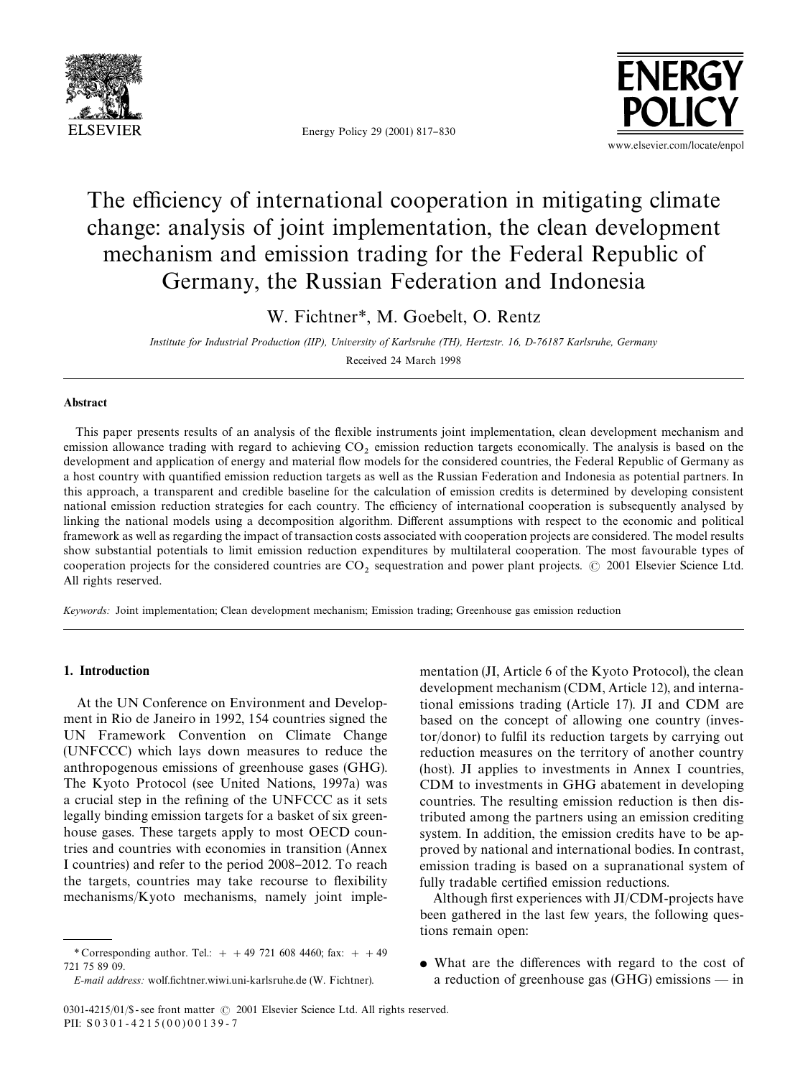

Energy Policy 29 (2001) 817-830



# The efficiency of international cooperation in mitigating climate change: analysis of joint implementation, the clean development mechanism and emission trading for the Federal Republic of Germany, the Russian Federation and Indonesia

W. Fichtner*\**, M. Goebelt, O. Rentz

*Institute for Industrial Production (IIP), University of Karlsruhe (TH), Hertzstr. 16, D-76187 Karlsruhe, Germany*

Received 24 March 1998

#### Abstract

This paper presents results of an analysis of the flexible instruments joint implementation, clean development mechanism and emission allowance trading with regard to achieving CO<sub>2</sub> emission reduction targets economically. The analysis is based on the development and application of energy and material flow models for the considered countries, the Federal Republic of Germany as a host country with quantified emission reduction targets as well as the Russian Federation and Indonesia as potential partners. In this approach, a transparent and credible baseline for the calculation of emission credits is determined by developing consistent national emission reduction strategies for each country. The efficiency of international cooperation is subsequently analysed by linking the national models using a decomposition algorithm. Different assumptions with respect to the economic and political framework as well as regarding the impact of transaction costs associated with cooperation projects are considered. The model results show substantial potentials to limit emission reduction expenditures by multilateral cooperation. The most favourable types of cooperation projects for the considered countries are  $CO<sub>2</sub>$  sequestration and power plant projects.  $\odot$  2001 Elsevier Science Ltd. All rights reserved.

*Keywords:* Joint implementation; Clean development mechanism; Emission trading; Greenhouse gas emission reduction

## 1. Introduction

At the UN Conference on Environment and Development in Rio de Janeiro in 1992, 154 countries signed the UN Framework Convention on Climate Change (UNFCCC) which lays down measures to reduce the anthropogenous emissions of greenhouse gases (GHG). The Kyoto Protocol (see United Nations, 1997a) was a crucial step in the refining of the UNFCCC as it sets legally binding emission targets for a basket of six greenhouse gases. These targets apply to most OECD countries and countries with economies in transition (Annex I countries) and refer to the period 2008–2012. To reach the targets, countries may take recourse to flexibility mechanisms/Kyoto mechanisms, namely joint implementation (JI, Article 6 of the Kyoto Protocol), the clean development mechanism (CDM, Article 12), and international emissions trading (Article 17). JI and CDM are based on the concept of allowing one country (investor/donor) to fulfil its reduction targets by carrying out reduction measures on the territory of another country (host). JI applies to investments in Annex I countries, CDM to investments in GHG abatement in developing countries. The resulting emission reduction is then distributed among the partners using an emission crediting system. In addition, the emission credits have to be approved by national and international bodies. In contrast, emission trading is based on a supranational system of fully tradable certified emission reductions.

Although first experiences with JI/CDM-projects have been gathered in the last few years, the following questions remain open:

• What are the differences with regard to the cost of a reduction of greenhouse gas  $(GHG)$  emissions  $-$  in

*<sup>\*</sup>* Corresponding author. Tel.:  $+ + 49$  721 608 4460; fax:  $+ + 49$ 721 75 89 09.

*E-mail address:* wolf.fichtner.wiwi.uni-karlsruhe.de (W. Fichtner).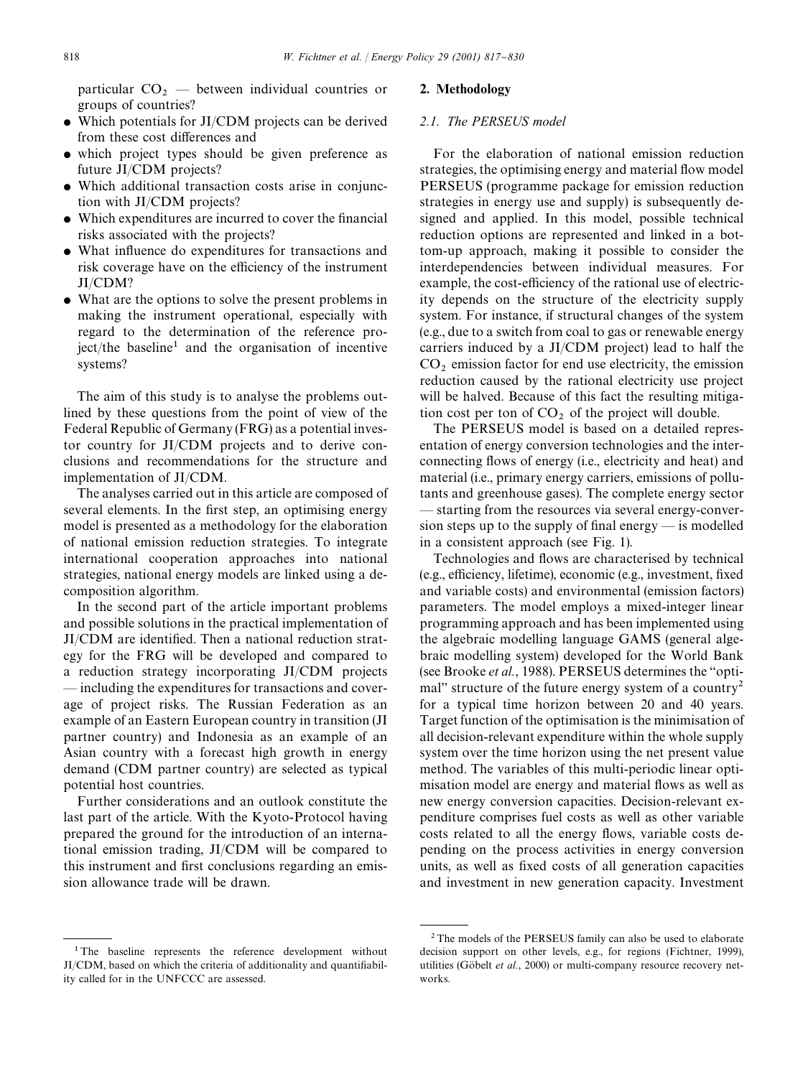particular  $CO<sub>2</sub>$  — between individual countries or groups of countries?

- Which potentials for JI/CDM projects can be derived from these cost differences and
- which project types should be given preference as future JI/CDM projects?
- Which additional transaction costs arise in conjunction with JI/CDM projects?
- $\bullet$  Which expenditures are incurred to cover the financial risks associated with the projects?
- What influence do expenditures for transactions and risk coverage have on the efficiency of the instrument JI/CDM?
- What are the options to solve the present problems in making the instrument operational, especially with regard to the determination of the reference project/the baseline<sup>1</sup> and the organisation of incentive systems?

The aim of this study is to analyse the problems outlined by these questions from the point of view of the Federal Republic of Germany (FRG) as a potential investor country for JI/CDM projects and to derive conclusions and recommendations for the structure and implementation of JI/CDM.

The analyses carried out in this article are composed of several elements. In the first step, an optimising energy model is presented as a methodology for the elaboration of national emission reduction strategies. To integrate international cooperation approaches into national strategies, national energy models are linked using a decomposition algorithm.

In the second part of the article important problems and possible solutions in the practical implementation of JI/CDM are identified. Then a national reduction strategy for the FRG will be developed and compared to a reduction strategy incorporating JI/CDM projects  $-$  including the expenditures for transactions and coverage of project risks. The Russian Federation as an example of an Eastern European country in transition (JI partner country) and Indonesia as an example of an Asian country with a forecast high growth in energy demand (CDM partner country) are selected as typical potential host countries.

Further considerations and an outlook constitute the last part of the article. With the Kyoto-Protocol having prepared the ground for the introduction of an international emission trading, JI/CDM will be compared to this instrument and first conclusions regarding an emission allowance trade will be drawn.

#### <sup>1</sup>The baseline represents the reference development without JI/CDM, based on which the criteria of additionality and quantifiability called for in the UNFCCC are assessed.

#### 2. Methodology

### *2.1. The PERSEUS model*

For the elaboration of national emission reduction strategies, the optimising energy and material flow model PERSEUS (programme package for emission reduction strategies in energy use and supply) is subsequently designed and applied. In this model, possible technical reduction options are represented and linked in a bottom-up approach, making it possible to consider the interdependencies between individual measures. For example, the cost-efficiency of the rational use of electricity depends on the structure of the electricity supply system. For instance, if structural changes of the system (e.g., due to a switch from coal to gas or renewable energy carriers induced by a JI/CDM project) lead to half the  $CO<sub>2</sub>$  emission factor for end use electricity, the emission reduction caused by the rational electricity use project will be halved. Because of this fact the resulting mitigation cost per ton of  $CO<sub>2</sub>$  of the project will double.

The PERSEUS model is based on a detailed representation of energy conversion technologies and the interconnecting flows of energy (i.e., electricity and heat) and material (i.e., primary energy carriers, emissions of pollutants and greenhouse gases). The complete energy sector  $-$  starting from the resources via several energy-conversion steps up to the supply of final energy  $-$  is modelled in a consistent approach (see Fig. 1).

Technologies and flows are characterised by technical (e.g., efficiency, lifetime), economic (e.g., investment, fixed and variable costs) and environmental (emission factors) parameters. The model employs a mixed-integer linear programming approach and has been implemented using the algebraic modelling language GAMS (general algebraic modelling system) developed for the World Bank (see Brooke *et al.*, 1988). PERSEUS determines the "optimal" structure of the future energy system of a country<sup>2</sup> for a typical time horizon between 20 and 40 years. Target function of the optimisation is the minimisation of all decision-relevant expenditure within the whole supply system over the time horizon using the net present value method. The variables of this multi-periodic linear optimisation model are energy and material flows as well as new energy conversion capacities. Decision-relevant expenditure comprises fuel costs as well as other variable costs related to all the energy flows, variable costs depending on the process activities in energy conversion units, as well as fixed costs of all generation capacities and investment in new generation capacity. Investment

<sup>&</sup>lt;sup>2</sup> The models of the PERSEUS family can also be used to elaborate decision support on other levels, e.g., for regions (Fichtner, 1999), utilities (Göbelt *et al.*, 2000) or multi-company resource recovery networks.